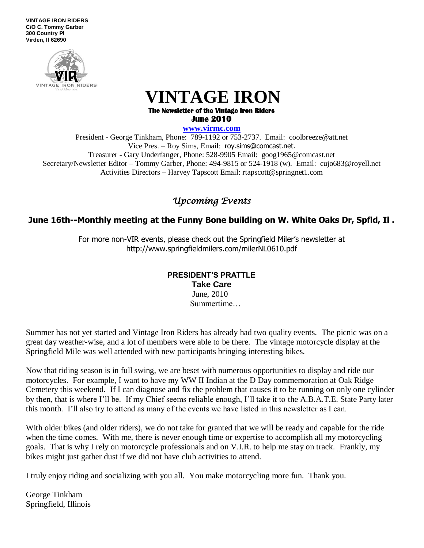**VINTAGE IRON RIDERS C/O C. Tommy Garber 300 Country Pl Virden, Il 62690**



# **VINTAGE IRON**

#### **The Newsletter of the Vintage Iron Riders June 2010**

**www.virmc.com** 

President - George Tinkham, Phone: 789-1192 or 753-2737. Email: coolbreeze@att.net Vice Pres. – Roy Sims, Email: [roy.sims@comcast.net.](mailto:roy.sims@comcast.net) Treasurer - Gary Underfanger, Phone: 528-9905 Email: goog1965@comcast.net Secretary/Newsletter Editor – Tommy Garber, Phone: 494-9815 or 524-1918 (w). Email: cujo683@royell.net Activities Directors – Harvey Tapscott Email: rtapscott@springnet1.com

## *Upcoming Events*

## **June 16th--Monthly meeting at the Funny Bone building on W. White Oaks Dr, Spfld, Il .**

For more non-VIR events, please check out the Springfield Miler's newsletter at http://www.springfieldmilers.com/milerNL0610.pdf

#### **PRESIDENT'S PRATTLE Take Care** June, 2010 Summertime…

Summer has not yet started and Vintage Iron Riders has already had two quality events. The picnic was on a great day weather-wise, and a lot of members were able to be there. The vintage motorcycle display at the Springfield Mile was well attended with new participants bringing interesting bikes.

Now that riding season is in full swing, we are beset with numerous opportunities to display and ride our motorcycles. For example, I want to have my WW II Indian at the D Day commemoration at Oak Ridge Cemetery this weekend. If I can diagnose and fix the problem that causes it to be running on only one cylinder by then, that is where I'll be. If my Chief seems reliable enough, I'll take it to the A.B.A.T.E. State Party later this month. I'll also try to attend as many of the events we have listed in this newsletter as I can.

With older bikes (and older riders), we do not take for granted that we will be ready and capable for the ride when the time comes. With me, there is never enough time or expertise to accomplish all my motorcycling goals. That is why I rely on motorcycle professionals and on V.I.R. to help me stay on track. Frankly, my bikes might just gather dust if we did not have club activities to attend.

I truly enjoy riding and socializing with you all. You make motorcycling more fun. Thank you.

George Tinkham Springfield, Illinois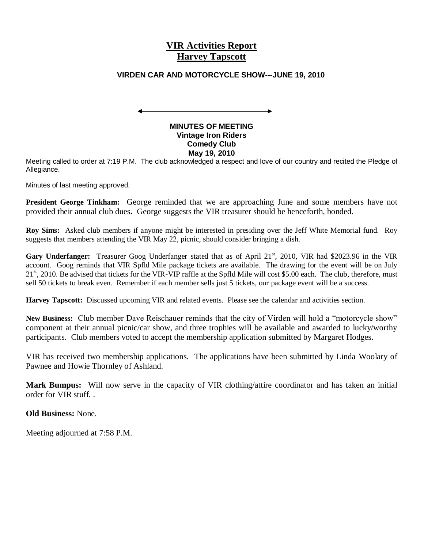## **VIR Activities Report Harvey Tapscott**

#### **VIRDEN CAR AND MOTORCYCLE SHOW---JUNE 19, 2010**

#### **MINUTES OF MEETING Vintage Iron Riders Comedy Club May 19, 2010**

Meeting called to order at 7:19 P.M. The club acknowledged a respect and love of our country and recited the Pledge of Allegiance.

Minutes of last meeting approved.

**President George Tinkham:** George reminded that we are approaching June and some members have not provided their annual club dues**.** George suggests the VIR treasurer should be henceforth, bonded.

**Roy Sims:** Asked club members if anyone might be interested in presiding over the Jeff White Memorial fund. Roy suggests that members attending the VIR May 22, picnic, should consider bringing a dish.

Gary Underfanger: Treasurer Goog Underfanger stated that as of April 21<sup>st</sup>, 2010, VIR had \$2023.96 in the VIR account. Goog reminds that VIR Spfld Mile package tickets are available. The drawing for the event will be on July 21<sup>st</sup>, 2010. Be advised that tickets for the VIR-VIP raffle at the Spfld Mile will cost \$5.00 each. The club, therefore, must sell 50 tickets to break even. Remember if each member sells just 5 tickets, our package event will be a success.

**Harvey Tapscott:** Discussed upcoming VIR and related events. Please see the calendar and activities section.

**New Business:** Club member Dave Reischauer reminds that the city of Virden will hold a "motorcycle show" component at their annual picnic/car show, and three trophies will be available and awarded to lucky/worthy participants. Club members voted to accept the membership application submitted by Margaret Hodges.

VIR has received two membership applications. The applications have been submitted by Linda Woolary of Pawnee and Howie Thornley of Ashland.

**Mark Bumpus:** Will now serve in the capacity of VIR clothing/attire coordinator and has taken an initial order for VIR stuff. .

**Old Business:** None.

Meeting adjourned at 7:58 P.M.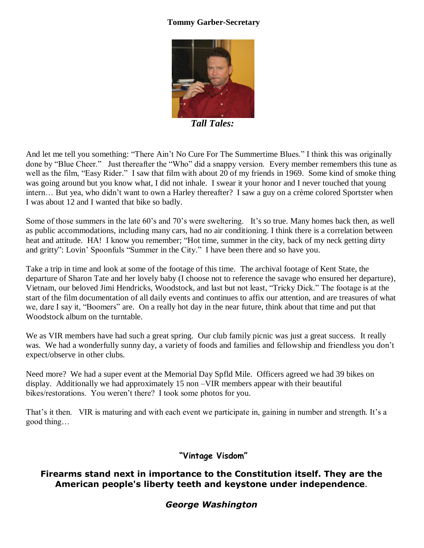## **Tommy Garber-Secretary**



 *Tall Tales:* 

And let me tell you something: "There Ain't No Cure For The Summertime Blues." I think this was originally done by "Blue Cheer." Just thereafter the "Who" did a snappy version. Every member remembers this tune as well as the film, "Easy Rider." I saw that film with about 20 of my friends in 1969. Some kind of smoke thing was going around but you know what, I did not inhale. I swear it your honor and I never touched that young intern… But yea, who didn't want to own a Harley thereafter? I saw a guy on a crème colored Sportster when I was about 12 and I wanted that bike so badly.

Some of those summers in the late 60's and 70's were sweltering. It's so true. Many homes back then, as well as public accommodations, including many cars, had no air conditioning. I think there is a correlation between heat and attitude. HA! I know you remember; "Hot time, summer in the city, back of my neck getting dirty and gritty": Lovin' Spoonfuls "Summer in the City." I have been there and so have you.

Take a trip in time and look at some of the footage of this time. The archival footage of Kent State, the departure of Sharon Tate and her lovely baby (I choose not to reference the savage who ensured her departure), Vietnam, our beloved Jimi Hendricks, Woodstock, and last but not least, "Tricky Dick." The footage is at the start of the film documentation of all daily events and continues to affix our attention, and are treasures of what we, dare I say it, "Boomers" are. On a really hot day in the near future, think about that time and put that Woodstock album on the turntable.

We as VIR members have had such a great spring. Our club family picnic was just a great success. It really was. We had a wonderfully sunny day, a variety of foods and families and fellowship and friendless you don't expect/observe in other clubs.

Need more? We had a super event at the Memorial Day Spfld Mile. Officers agreed we had 39 bikes on display. Additionally we had approximately 15 non –VIR members appear with their beautiful bikes/restorations. You weren't there? I took some photos for you.

That's it then. VIR is maturing and with each event we participate in, gaining in number and strength. It's a good thing…

## **"Vintage Visdom"**

## **Firearms stand next in importance to the Constitution itself. They are the American people's liberty teeth and keystone under independence***.*

### *George Washington*